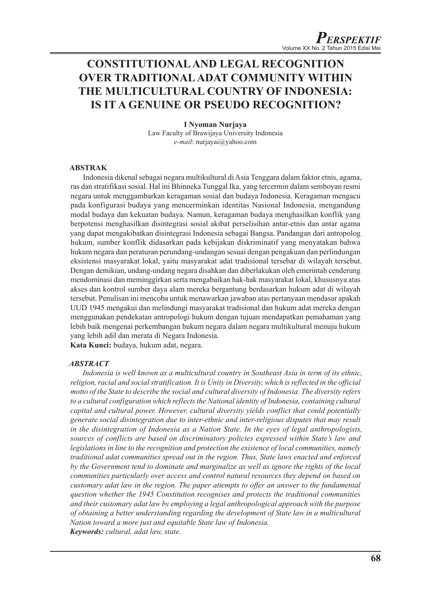# **CONSTITUTIONAL AND LEGAL RECOGNITION OVER TRADITIONAL ADAT COMMUNITY WITHIN THE MULTICULTURAL COUNTRY OF INDONESIA: IS IT A GENUINE OR PSEUDO RECOGNITION?**

## **I Nyoman Nurjaya** Law Faculty of Brawijaya University Indonesia

*e-mail*: nurjayai@yahoo.com

# **ABSTRAK**

Indonesia dikenal sebagai negara multikultural di Asia Tenggara dalam faktor etnis, agama, ras dan stratifikasi sosial. Hal ini Bhinneka Tunggal Ika, yang tercermin dalam semboyan resmi negara untuk menggambarkan keragaman sosial dan budaya Indonesia. Keragaman mengacu pada konfigurasi budaya yang mencerminkan identitas Nasional Indonesia, mengandung modal budaya dan kekuatan budaya. Namun, keragaman budaya menghasilkan konflik yang berpotensi menghasilkan disintegrasi sosial akibat perselisihan antar-etnis dan antar agama yang dapat mengakibatkan disintegrasi Indonesia sebagai Bangsa. Pandangan dari antropolog hukum, sumber konflik didasarkan pada kebijakan diskriminatif yang menyatakan bahwa hukum negara dan peraturan perundang-undangan sesuai dengan pengakuan dan perlindungan eksistensi masyarakat lokal, yaitu masyarakat adat tradisional tersebar di wilayah tersebut. Dengan demikian, undang-undang negara disahkan dan diberlakukan oleh emerintah cenderung mendominasi dan meminggirkan serta mengabaikan hak-hak masyarakat lokal, khususnya atas akses dan kontrol sumber daya alam mereka bergantung berdasarkan hukum adat di wilayah tersebut. Penulisan ini mencoba untuk menawarkan jawaban atas pertanyaan mendasar apakah UUD 1945 mengakui dan melindungi masyarakat tradisional dan hukum adat mereka dengan menggunakan pendekatan antropologi hukum dengan tujuan mendapatkan pemahaman yang lebih baik mengenai perkembangan hukum negara dalam negara multikultural menuju hukum yang lebih adil dan merata di Negara Indonesia.

**Kata Kunci:** budaya, hukum adat, negara.

## *ABSTRACT*

*Indonesia is well known as a multicultural country in Southeast Asia in term of its ethnic, religion, racial and social stratification. It is Unity in Diversity, which is reflected in the official motto of the State to describe the social and cultural diversity of Indonesia. The diversity refers to a cultural configuration which reflects the National identity of Indonesia, containing cultural capital and cultural power. However, cultural diversity yields conflict that could potentially generate social disintegration due to inter-ethnic and inter-religious disputes that may result in the disintegration of Indonesia as a Nation State. In the eyes of legal anthropologists, sources of conflicts are based on discriminatory policies expressed within State's law and legislations in line to the recognition and protection the existence of local communities, namely traditional adat communities spread out in the region. Thus, State laws enacted and enforced by the Government tend to dominate and marginalize as well as ignore the rights of the local communities particularly over access and control natural resources they depend on based on customary adat law in the region. The paper attempts to offer an answer to the fundamental question whether the 1945 Constitution recognises and protects the traditional communities and their customary adat law by employing a legal anthropological approach with the purpose of obtaining a better understanding regarding the development of State law in a multicultural Nation toward a more just and equitable State law of Indonesia. Keywords: cultural, adat law, state.*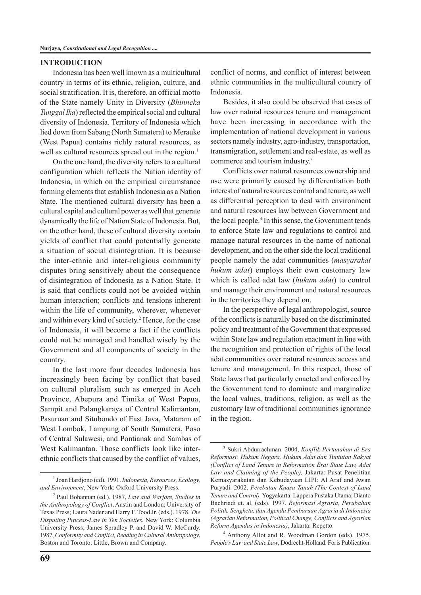#### **INTRODUCTION**

Indonesia has been well known as a multicultural country in terms of its ethnic, religion, culture, and social stratification. It is, therefore, an official motto of the State namely Unity in Diversity (*Bhinneka Tunggal Ika*) reflected the empirical social and cultural diversity of Indonesia. Territory of Indonesia which lied down from Sabang (North Sumatera) to Merauke (West Papua) contains richly natural resources, as well as cultural resources spread out in the region. $<sup>1</sup>$ </sup>

On the one hand, the diversity refers to a cultural configuration which reflects the Nation identity of Indonesia, in which on the empirical circumstance forming elements that establish Indonesia as a Nation State. The mentioned cultural diversity has been a cultural capital and cultural power as well that generate dynamically the life of Nation State of Indonesia. But, on the other hand, these of cultural diversity contain yields of conflict that could potentially generate a situation of social disintegration. It is because the inter-ethnic and inter-religious community disputes bring sensitively about the consequence of disintegration of Indonesia as a Nation State. It is said that conflicts could not be avoided within human interaction; conflicts and tensions inherent within the life of community, wherever, whenever and within every kind of society.2 Hence, for the case of Indonesia, it will become a fact if the conflicts could not be managed and handled wisely by the Government and all components of society in the country.

In the last more four decades Indonesia has increasingly been facing by conflict that based on cultural pluralism such as emerged in Aceh Province, Abepura and Timika of West Papua, Sampit and Palangkaraya of Central Kalimantan, Pasuruan and Situbondo of East Java, Mataram of West Lombok, Lampung of South Sumatera, Poso of Central Sulawesi, and Pontianak and Sambas of West Kalimantan. Those conflicts look like interethnic conflicts that caused by the conflict of values,

**69**

conflict of norms, and conflict of interest between ethnic communities in the multicultural country of Indonesia.

Besides, it also could be observed that cases of law over natural resources tenure and management have been increasing in accordance with the implementation of national development in various sectors namely industry, agro-industry, transportation, transmigration, settlement and real-estate, as well as commerce and tourism industry.3

Conflicts over natural resources ownership and use were primarily caused by differentiation both interest of natural resources control and tenure, as well as differential perception to deal with environment and natural resources law between Government and the local people.4 In this sense, the Government tends to enforce State law and regulations to control and manage natural resources in the name of national development, and on the other side the local traditional people namely the adat communities (*masyarakat hukum adat*) employs their own customary law which is called adat law (*hukum adat*) to control and manage their environment and natural resources in the territories they depend on.

In the perspective of legal anthropologist, source of the conflicts is naturally based on the discriminated policy and treatment of the Government that expressed within State law and regulation enactment in line with the recognition and protection of rights of the local adat communities over natural resources access and tenure and management. In this respect, those of State laws that particularly enacted and enforced by the Government tend to dominate and marginalize the local values, traditions, religion, as well as the customary law of traditional communities ignorance in the region.

4 Anthony Allot and R. Woodman Gordon (eds). 1975, *People's Law and State Law*, Dodrecht-Holland: Foris Publication.

<sup>1</sup> Joan Hardjono (ed), 1991. *Indonesia, Resources, Ecology, and Environment*, New York: Oxford University Press.

<sup>2</sup> Paul Bohannan (ed.). 1987, *Law and Warfare, Studies in the Anthropology of Conflict*, Austin and London: University of Texas Press; Laura Nader and Harry F. Tood Jr. (eds.). 1978. *The Disputing Process-Law in Ten Societies*, New York: Columbia University Press; James Spradley P. and David W. McCurdy. 1987, *Conformity and Conflict, Reading in Cultural Anthropology*, Boston and Toronto: Little, Brown and Company.

<sup>3</sup> Sukri Abdurrachman. 2004, *Konflik Pertanahan di Era Reformasi: Hukum Negara, Hukum Adat dan Tuntutan Rakyat (Conflict of Land Tenure in Reformation Era: State Law, Adat Law and Claiming of the People),* Jakarta: Pusat Penelitian Kemasyarakatan dan Kebudayaan LIPI; Al Araf and Awan Puryadi. 2002, *Perebutan Kuasa Tanah (The Contest of Land Tenure and Control),* Yogyakarta: Lappera Pustaka Utama; Dianto Bachriadi et. al. (eds). 1997. *Reformasi Agraria, Perubahan Politik, Sengketa, dan Agenda Pembaruan Agraria di Indonesia (Agrarian Reformation, Political Change, Conflicts and Agrarian Reform Agendas in Indonesia)*, Jakarta: Repetto.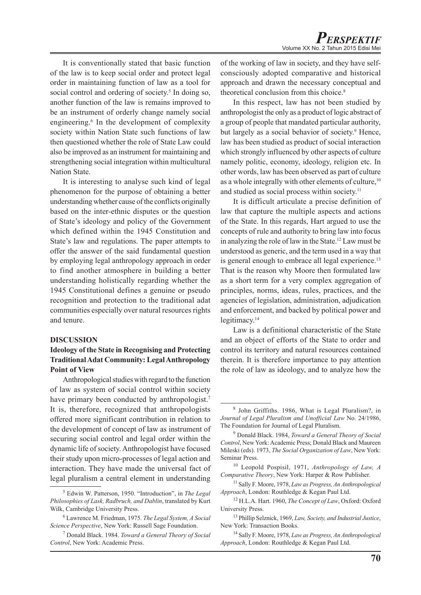It is conventionally stated that basic function of the law is to keep social order and protect legal order in maintaining function of law as a tool for social control and ordering of society.<sup>5</sup> In doing so, another function of the law is remains improved to be an instrument of orderly change namely social engineering.<sup>6</sup> In the development of complexity society within Nation State such functions of law then questioned whether the role of State Law could also be improved as an instrument for maintaining and strengthening social integration within multicultural Nation State.

It is interesting to analyse such kind of legal phenomenon for the purpose of obtaining a better understanding whether cause of the conflicts originally based on the inter-ethnic disputes or the question of State's ideology and policy of the Government which defined within the 1945 Constitution and State's law and regulations. The paper attempts to offer the answer of the said fundamental question by employing legal anthropology approach in order to find another atmosphere in building a better understanding holistically regarding whether the 1945 Constitutional defines a genuine or pseudo recognition and protection to the traditional adat communities especially over natural resources rights and tenure.

## **DISCUSSION**

# **Ideology of the State in Recognising and Protecting Traditional Adat Community: Legal Anthropology Point of View**

Anthropological studies with regard to the function of law as system of social control within society have primary been conducted by anthropologist.<sup>7</sup> It is, therefore, recognized that anthropologists offered more significant contribution in relation to the development of concept of law as instrument of securing social control and legal order within the dynamic life of society. Anthropologist have focused their study upon micro-processes of legal action and interaction. They have made the universal fact of legal pluralism a central element in understanding

of the working of law in society, and they have selfconsciously adopted comparative and historical approach and drawn the necessary conceptual and theoretical conclusion from this choice.8

In this respect, law has not been studied by anthropologist the only as a product of logic abstract of a group of people that mandated particular authority, but largely as a social behavior of society.<sup>9</sup> Hence, law has been studied as product of social interaction which strongly influenced by other aspects of culture namely politic, economy, ideology, religion etc. In other words, law has been observed as part of culture as a whole integrally with other elements of culture,<sup>10</sup> and studied as social process within society.<sup>11</sup>

It is difficult articulate a precise definition of law that capture the multiple aspects and actions of the State. In this regards, Hart argued to use the concepts of rule and authority to bring law into focus in analyzing the role of law in the State.12 Law must be understood as generic, and the term used in a way that is general enough to embrace all legal experience.<sup>13</sup> That is the reason why Moore then formulated law as a short term for a very complex aggregation of principles, norms, ideas, rules, practices, and the agencies of legislation, administration, adjudication and enforcement, and backed by political power and legitimacy.<sup>14</sup>

Law is a definitional characteristic of the State and an object of efforts of the State to order and control its territory and natural resources contained therein. It is therefore importance to pay attention the role of law as ideology, and to analyze how the

<sup>5</sup> Edwin W. Patterson, 1950. "Introduction", in *The Legal Philosophies of Lask, Radbruch, and Dablin*, translated by Kurt Wilk, Cambridge University Press.

<sup>6</sup> Lawrence M. Friedman, 1975. *The Legal System, A Social Science Perspective*, New York: Russell Sage Foundation.

<sup>7</sup> Donald Black. 1984. *Toward a General Theory of Social Control*, New York: Academic Press.

<sup>8</sup> John Griffiths. 1986, What is Legal Pluralism?, in *Journal of Legal Pluralism and Unofficial Law* No. 24/1986, The Foundation for Journal of Legal Pluralism.

<sup>9</sup> Donald Black. 1984, *Toward a General Theory of Social Control*, New York: Academic Press; Donald Black and Maureen Mileski (eds). 1973, *The Social Organization of Law*, New York: Seminar Press.

<sup>10</sup> Leopold Pospisil, 1971, *Anthropology of Law, A Comparative Theory*, New York: Harper & Row Publisher.

<sup>11</sup> Sally F. Moore, 1978, *Law as Progress, An Anthropological Approach*, London: Routhledge & Kegan Paul Ltd.

<sup>12</sup> H.L.A. Hart. 1960, *The Concept of Law*, Oxford: Oxford University Press.

<sup>13</sup> Phillip Selznick, 1969, *Law, Society, and Industrial Justice*, New York: Transaction Books.

<sup>14</sup> Sally F. Moore, 1978, *Law as Progress, An Anthropological Approach*, London: Routhledge & Kegan Paul Ltd.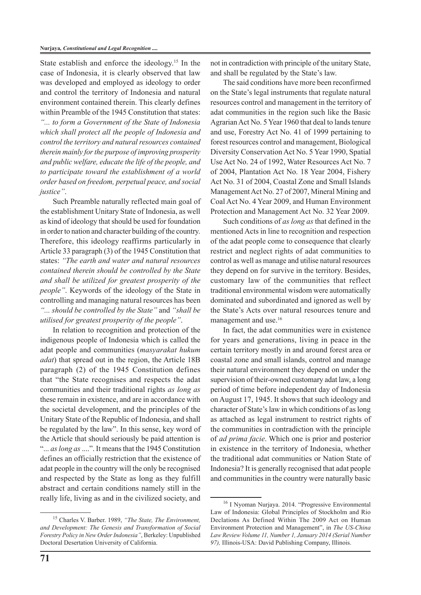State establish and enforce the ideology.<sup>15</sup> In the case of Indonesia, it is clearly observed that law was developed and employed as ideology to order and control the territory of Indonesia and natural environment contained therein. This clearly defines within Preamble of the 1945 Constitution that states: *"... to form a Government of the State of Indonesia which shall protect all the people of Indonesia and control the territory and natural resources contained therein mainly for the purpose of improving prosperity and public welfare, educate the life of the people, and to participate toward the establishment of a world order based on freedom, perpetual peace, and social justice"*.

Such Preamble naturally reflected main goal of the establishment Unitary State of Indonesia, as well as kind of ideology that should be used for foundation in order to nation and character building of the country. Therefore, this ideology reaffirms particularly in Article 33 paragraph (3) of the 1945 Constitution that states: *"The earth and water and natural resources contained therein should be controlled by the State and shall be utilized for greatest prosperity of the people"*. Keywords of the ideology of the State in controlling and managing natural resources has been *"... should be controlled by the State"* and *"shall be utilised for greatest prosperity of the people"*.

In relation to recognition and protection of the indigenous people of Indonesia which is called the adat people and communities (*masyarakat hukum adat*) that spread out in the region, the Article 18B paragraph (2) of the 1945 Constitution defines that "the State recognises and respects the adat communities and their traditional rights *as long as* these remain in existence, and are in accordance with the societal development, and the principles of the Unitary State of the Republic of Indonesia, and shall be regulated by the law". In this sense, key word of the Article that should seriously be paid attention is "... *as long as* ....". It means that the 1945 Constitution defines an officially restriction that the existence of adat people in the country will the only be recognised and respected by the State as long as they fulfill abstract and certain conditions namely still in the really life, living as and in the civilized society, and

15 Charles V. Barber. 1989, *"The State, The Environment, and Development: The Genesis and Transformation of Social Forestry Policy in New Order Indonesia"*, Berkeley: Unpublished Doctoral Desertation University of California.

not in contradiction with principle of the unitary State, and shall be regulated by the State's law.

The said conditions have more been reconfirmed on the State's legal instruments that regulate natural resources control and management in the territory of adat communities in the region such like the Basic Agrarian Act No. 5 Year 1960 that deal to lands tenure and use, Forestry Act No. 41 of 1999 pertaining to forest resources control and management, Biological Diversity Conservation Act No. 5 Year 1990, Spatial Use Act No. 24 of 1992, Water Resources Act No. 7 of 2004, Plantation Act No. 18 Year 2004, Fishery Act No. 31 of 2004, Coastal Zone and Small Islands Management Act No. 27 of 2007, Mineral Mining and Coal Act No. 4 Year 2009, and Human Environment Protection and Management Act No. 32 Year 2009.

Such conditions of *as long as* that defined in the mentioned Acts in line to recognition and respection of the adat people come to consequence that clearly restrict and neglect rights of adat communities to control as well as manage and utilise natural resources they depend on for survive in the territory. Besides, customary law of the communities that reflect traditional environmental wisdom were automatically dominated and subordinated and ignored as well by the State's Acts over natural resources tenure and management and use.16

In fact, the adat communities were in existence for years and generations, living in peace in the certain territory mostly in and around forest area or coastal zone and small islands, control and manage their natural environment they depend on under the supervision of their-owned customary adat law, a long period of time before independent day of Indonesia on August 17, 1945. It shows that such ideology and character of State's law in which conditions of as long as attached as legal instrument to restrict rights of the communities in contradiction with the principle of *ad prima facie*. Which one is prior and posterior in existence in the territory of Indonesia, whether the traditional adat communities or Nation State of Indonesia? It is generally recognised that adat people and communities in the country were naturally basic

<sup>16</sup> I Nyoman Nurjaya. 2014. "Progressive Environmental Law of Indonesia: Global Principles of Stockholm and Rio Declations As Defined Within The 2009 Act on Human Environment Protection and Management", in *The US-China Law Review Volume 11, Number 1, January 2014 (Serial Number 97),* Illinois-USA: David Publishing Company, Illinois.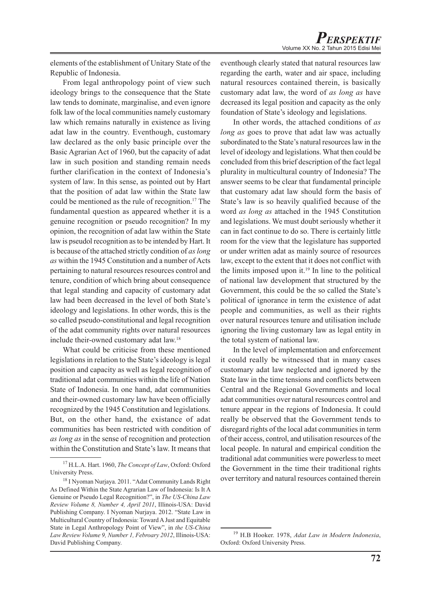elements of the establishment of Unitary State of the Republic of Indonesia.

From legal anthropology point of view such ideology brings to the consequence that the State law tends to dominate, marginalise, and even ignore folk law of the local communities namely customary law which remains naturally in existence as living adat law in the country. Eventhough, customary law declared as the only basic principle over the Basic Agrarian Act of 1960, but the capacity of adat law in such position and standing remain needs further clarification in the context of Indonesia's system of law. In this sense, as pointed out by Hart that the position of adat law within the State law could be mentioned as the rule of recognition.17 The fundamental question as appeared whether it is a genuine recognition or pseudo recognition? In my opinion, the recognition of adat law within the State law is pseudol recognition as to be intended by Hart. It is because of the attached strictly condition of *as long as* within the 1945 Constitution and a number of Acts pertaining to natural resources resources control and tenure, condition of which bring about consequence that legal standing and capacity of customary adat law had been decreased in the level of both State's ideology and legislations. In other words, this is the so called pseudo-constitutional and legal recognition of the adat community rights over natural resources include their-owned customary adat law.18

What could be criticise from these mentioned legislations in relation to the State's ideology is legal position and capacity as well as legal recognition of traditional adat communities within the life of Nation State of Indonesia. In one hand, adat communities and their-owned customary law have been officially recognized by the 1945 Constitution and legislations. But, on the other hand, the existance of adat communities has been restricted with condition of *as long as* in the sense of recognition and protection within the Constitution and State's law. It means that

eventhough clearly stated that natural resources law regarding the earth, water and air space, including natural resources contained therein, is basically customary adat law, the word of *as long as* have decreased its legal position and capacity as the only foundation of State's ideology and legislations.

In other words, the attached conditions of *as long as* goes to prove that adat law was actually subordinated to the State's natural resources law in the level of ideology and legislations. What then could be concluded from this brief description of the fact legal plurality in multicultural country of Indonesia? The answer seems to be clear that fundamental principle that customary adat law should form the basis of State's law is so heavily qualified because of the word *as long as* attached in the 1945 Constitution and legislations. We must doubt seriously whether it can in fact continue to do so. There is certainly little room for the view that the legislature has supported or under written adat as mainly source of resources law, except to the extent that it does not conflict with the limits imposed upon it.19 In line to the political of national law development that structured by the Government, this could be the so called the State's political of ignorance in term the existence of adat people and communities, as well as their rights over natural resources tenure and utilisation include ignoring the living customary law as legal entity in the total system of national law.

In the level of implementation and enforcement it could really be witnessed that in many cases customary adat law neglected and ignored by the State law in the time tensions and conflicts between Central and the Regional Governments and local adat communities over natural resources control and tenure appear in the regions of Indonesia. It could really be observed that the Government tends to disregard rights of the local adat communities in term of their access, control, and utilisation resources of the local people. In natural and empirical condition the traditional adat communities were powerless to meet the Government in the time their traditional rights over territory and natural resources contained therein

<sup>17</sup> H.L.A. Hart. 1960, *The Concept of Law*, Oxford: Oxford University Press.

<sup>18</sup> I Nyoman Nurjaya. 2011. "Adat Community Lands Right As Defined Within the State Agrarian Law of Indonesia: Is It A Genuine or Pseudo Legal Recognition?", in *The US-China Law Review Volume 8, Number 4, April 2011*, Illinois-USA: David Publishing Company. I Nyoman Nurjaya. 2012. "State Law in Multicultural Country of Indonesia: Toward A Just and Equitable State in Legal Anthropology Point of View", in *the US-China Law Review Volume 9, Number 1, Febroary 2012*, Illinois-USA: David Publishing Company.

<sup>19</sup> H.B Hooker. 1978, *Adat Law in Modern Indonesia*, Oxford: Oxford University Press.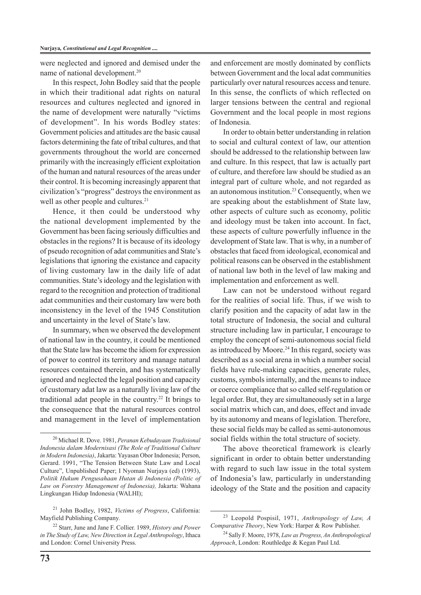were neglected and ignored and demised under the name of national development.20

In this respect, John Bodley said that the people in which their traditional adat rights on natural resources and cultures neglected and ignored in the name of development were naturally "victims of development". In his words Bodley states: Government policies and attitudes are the basic causal factors determining the fate of tribal cultures, and that governments throughout the world are concerned primarily with the increasingly efficient exploitation of the human and natural resources of the areas under their control. It is becoming increasingly apparent that civilization's "progress" destroys the environment as well as other people and cultures.<sup>21</sup>

Hence, it then could be understood why the national development implemented by the Government has been facing seriously difficulties and obstacles in the regions? It is because of its ideology of pseudo recognition of adat communities and State's legislations that ignoring the existance and capacity of living customary law in the daily life of adat communities. State's ideology and the legislation with regard to the recognition and protection of traditional adat communities and their customary law were both inconsistency in the level of the 1945 Constitution and uncertainty in the level of State's law.

In summary, when we observed the development of national law in the country, it could be mentioned that the State law has become the idiom for expression of power to control its territory and manage natural resources contained therein, and has systematically ignored and neglected the legal position and capacity of customary adat law as a naturally living law of the traditional adat people in the country.22 It brings to the consequence that the natural resources control and management in the level of implementation and enforcement are mostly dominated by conflicts between Government and the local adat communities particularly over natural resources access and tenure. In this sense, the conflicts of which reflected on larger tensions between the central and regional Government and the local people in most regions of Indonesia.

In order to obtain better understanding in relation to social and cultural context of law, our attention should be addressed to the relationship between law and culture. In this respect, that law is actually part of culture, and therefore law should be studied as an integral part of culture whole, and not regarded as an autonomous institution.<sup>23</sup> Consequently, when we are speaking about the establishment of State law, other aspects of culture such as economy, politic and ideology must be taken into account. In fact, these aspects of culture powerfully influence in the development of State law. That is why, in a number of obstacles that faced from ideological, economical and political reasons can be observed in the establishment of national law both in the level of law making and implementation and enforcement as well.

Law can not be understood without regard for the realities of social life. Thus, if we wish to clarify position and the capacity of adat law in the total structure of Indonesia, the social and cultural structure including law in particular, I encourage to employ the concept of semi-autonomous social field as introduced by Moore.<sup>24</sup> In this regard, society was described as a social arena in which a number social fields have rule-making capacities, generate rules, customs, symbols internally, and the means to induce or coerce compliance that so called self-regulation or legal order. But, they are simultaneously set in a large social matrix which can, and does, effect and invade by its autonomy and means of legislation. Therefore, these social fields may be called as semi-autonomous social fields within the total structure of society.

The above theoretical framework is clearly significant in order to obtain better understanding with regard to such law issue in the total system of Indonesia's law, particularly in understanding ideology of the State and the position and capacity

<sup>20</sup> Michael R. Dove. 1981, *Peranan Kebudayaan Tradisional Indonesia dalam Modernisasi (The Role of Traditional Culture in Modern Indonesia)*, Jakarta: Yayasan Obor Indonesia; Person, Gerard. 1991, "The Tension Between State Law and Local Culture", Unpublished Paper; I Nyoman Nurjaya (ed) (1993), *Politik Hukum Pengusahaan Hutan di Indonesia (Politic of Law on Forestry Management of Indonesia),* Jakarta: Wahana Lingkungan Hidup Indonesia (WALHI);

<sup>21</sup> John Bodley, 1982, *Victims of Progress*, California: Mayfield Publishing Company*.*

<sup>22</sup> Starr, June and Jane F. Collier. 1989, *History and Power in The Study of Law, New Direction in Legal Anthropology*, Ithaca and London: Cornel University Press.

<sup>23</sup> Leopold Pospisil, 1971, *Anthropology of Law, A Comparative Theory*, New York: Harper & Row Publisher.

<sup>24</sup> Sally F. Moore, 1978, *Law as Progress, An Anthropological Approach*, London: Routhledge & Kegan Paul Ltd.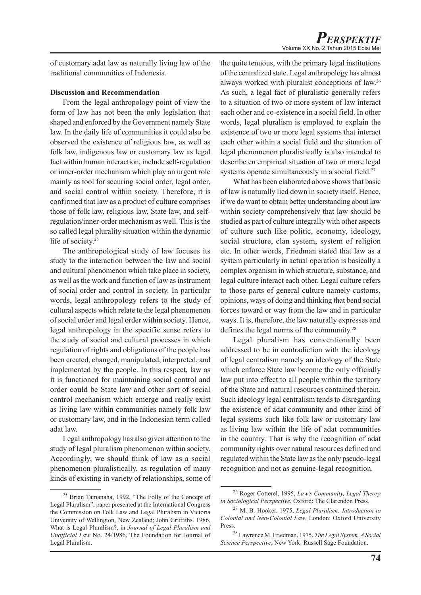of customary adat law as naturally living law of the traditional communities of Indonesia.

#### **Discussion and Recommendation**

From the legal anthropology point of view the form of law has not been the only legislation that shaped and enforced by the Government namely State law. In the daily life of communities it could also be observed the existence of religious law, as well as folk law, indigenous law or customary law as legal fact within human interaction, include self-regulation or inner-order mechanism which play an urgent role mainly as tool for securing social order, legal order, and social control within society. Therefore, it is confirmed that law as a product of culture comprises those of folk law, religious law, State law, and selfregulation/inner-order mechanism as well. This is the so called legal plurality situation within the dynamic life of society.<sup>25</sup>

The anthropological study of law focuses its study to the interaction between the law and social and cultural phenomenon which take place in society, as well as the work and function of law as instrument of social order and control in society. In particular words, legal anthropology refers to the study of cultural aspects which relate to the legal phenomenon of social order and legal order within society. Hence, legal anthropology in the specific sense refers to the study of social and cultural processes in which regulation of rights and obligations of the people has been created, changed, manipulated, interpreted, and implemented by the people. In this respect, law as it is functioned for maintaining social control and order could be State law and other sort of social control mechanism which emerge and really exist as living law within communities namely folk law or customary law, and in the Indonesian term called adat law.

Legal anthropology has also given attention to the study of legal pluralism phenomenon within society. Accordingly, we should think of law as a social phenomenon pluralistically, as regulation of many kinds of existing in variety of relationships, some of the quite tenuous, with the primary legal institutions of the centralized state. Legal anthropology has almost always worked with pluralist conceptions of law.26 As such, a legal fact of pluralistic generally refers to a situation of two or more system of law interact each other and co-existence in a social field. In other words, legal pluralism is employed to explain the existence of two or more legal systems that interact each other within a social field and the situation of legal phenomenon pluralistically is also intended to describe en empirical situation of two or more legal systems operate simultaneously in a social field.<sup>27</sup>

What has been elaborated above shows that basic of law is naturally lied down in society itself. Hence, if we do want to obtain better understanding about law within society comprehensively that law should be studied as part of culture integrally with other aspects of culture such like politic, economy, ideology, social structure, clan system, system of religion etc. In other words, Friedman stated that law as a system particularly in actual operation is basically a complex organism in which structure, substance, and legal culture interact each other. Legal culture refers to those parts of general culture namely customs, opinions, ways of doing and thinking that bend social forces toward or way from the law and in particular ways. It is, therefore, the law naturally expresses and defines the legal norms of the community.28

Legal pluralism has conventionally been addressed to be in contradiction with the ideology of legal centralism namely an ideology of the State which enforce State law become the only officially law put into effect to all people within the territory of the State and natural resources contained therein. Such ideology legal centralism tends to disregarding the existence of adat community and other kind of legal systems such like folk law or customary law as living law within the life of adat communities in the country. That is why the recognition of adat community rights over natural resources defined and regulated within the State law as the only pseudo-legal recognition and not as genuine-legal recognition.

<sup>25</sup> Brian Tamanaha, 1992, "The Folly of the Concept of Legal Pluralism", paper presented at the International Congress the Commission on Folk Law and Legal Pluralism in Victoria University of Wellington, New Zealand; John Griffiths. 1986, What is Legal Pluralism?, in *Journal of Legal Pluralism and Unofficial Law* No. 24/1986, The Foundation for Journal of Legal Pluralism.

<sup>26</sup> Roger Cotterel, 1995, *Law's Community, Legal Theory in Sociological Perspective*, Oxford: The Clarendon Press.

<sup>27</sup> M. B. Hooker. 1975, *Legal Pluralism: Introduction to Colonial and Neo-Colonial Law*, London: Oxford University Press.

<sup>28</sup> Lawrence M. Friedman, 1975, *The Legal System, A Social Science Perspective*, New York: Russell Sage Foundation.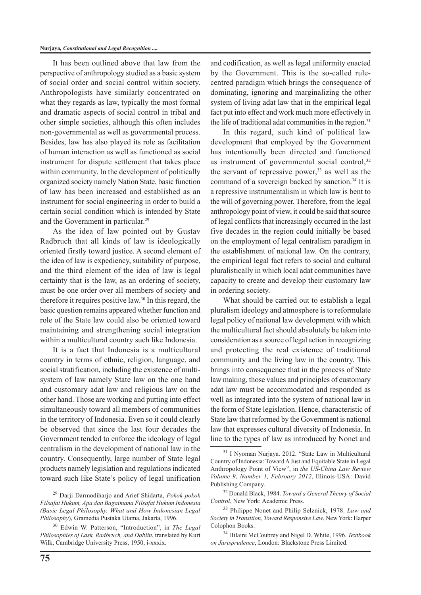It has been outlined above that law from the perspective of anthropology studied as a basic system of social order and social control within society. Anthropologists have similarly concentrated on what they regards as law, typically the most formal and dramatic aspects of social control in tribal and other simple societies, although this often includes non-governmental as well as governmental process. Besides, law has also played its role as facilitation of human interaction as well as functioned as social instrument for dispute settlement that takes place within community. In the development of politically organized society namely Nation State, basic function of law has been increased and established as an instrument for social engineering in order to build a certain social condition which is intended by State and the Government in particular.29

As the idea of law pointed out by Gustav Radbruch that all kinds of law is ideologically oriented firstly toward justice. A second element of the idea of law is expediency, suitability of purpose, and the third element of the idea of law is legal certainty that is the law, as an ordering of society, must be one order over all members of society and therefore it requires positive law.30 In this regard, the basic question remains appeared whether function and role of the State law could also be oriented toward maintaining and strengthening social integration within a multicultural country such like Indonesia.

It is a fact that Indonesia is a multicultural country in terms of ethnic, religion, language, and social stratification, including the existence of multisystem of law namely State law on the one hand and customary adat law and religious law on the other hand. Those are working and putting into effect simultaneously toward all members of communities in the territory of Indonesia. Even so it could clearly be observed that since the last four decades the Government tended to enforce the ideology of legal centralism in the development of national law in the country. Consequently, large number of State legal products namely legislation and regulations indicated toward such like State's policy of legal unification and codification, as well as legal uniformity enacted by the Government. This is the so-called rulecentred paradigm which brings the consequence of dominating, ignoring and marginalizing the other system of living adat law that in the empirical legal fact put into effect and work much more effectively in the life of traditional adat communities in the region.<sup>31</sup>

In this regard, such kind of political law development that employed by the Government has intentionally been directed and functioned as instrument of governmental social control, $32$ the servant of repressive power, $33$  as well as the command of a sovereign backed by sanction.<sup>34</sup> It is a repressive instrumentalism in which law is bent to the will of governing power. Therefore, from the legal anthropology point of view, it could be said that source of legal conflicts that increasingly occurred in the last five decades in the region could initially be based on the employment of legal centralism paradigm in the establishment of national law. On the contrary, the empirical legal fact refers to social and cultural pluralistically in which local adat communities have capacity to create and develop their customary law in ordering society.

What should be carried out to establish a legal pluralism ideology and atmosphere is to reformulate legal policy of national law development with which the multicultural fact should absolutely be taken into consideration as a source of legal action in recognizing and protecting the real existence of traditional community and the living law in the country. This brings into consequence that in the process of State law making, those values and principles of customary adat law must be accommodated and responded as well as integrated into the system of national law in the form of State legislation. Hence, characteristic of State law that reformed by the Government is national law that expresses cultural diversity of Indonesia. In line to the types of law as introduced by Nonet and

<sup>29</sup> Darji Darmodiharjo and Arief Shidarta, *Pokok-pokok Filsafat Hukum, Apa dan Bagaimana Filsafat Hukum Indonesia (Basic Legal Philosophy, What and How Indonesian Legal Philosophy*), Gramedia Pustaka Utama, Jakarta, 1996.

<sup>30</sup> Edwin W. Patterson, "Introduction", in *The Legal Philosophies of Lask, Radbruch, and Dablin*, translated by Kurt Wilk, Cambridge University Press, 1950, i-xxxix.

<sup>31</sup> I Nyoman Nurjaya. 2012. "State Law in Multicultural Country of Indonesia: Toward A Just and Equitable State in Legal Anthropology Point of View", in *the US-China Law Review Volume 9, Number 1, Febroary 2012*, Illinois-USA: David Publishing Company.

<sup>32</sup> Donald Black, 1984. *Toward a General Theory of Social Control*, New York: Academic Press.

<sup>33</sup> Philippe Nonet and Philip Selznick, 1978. *Law and Society in Transition, Toward Responsive Law*, New York: Harper Colophon Books.

<sup>34</sup> Hilaire McCoubrey and Nigel D. White, 1996. *Textbook on Jurisprudence*, London: Blackstone Press Limited.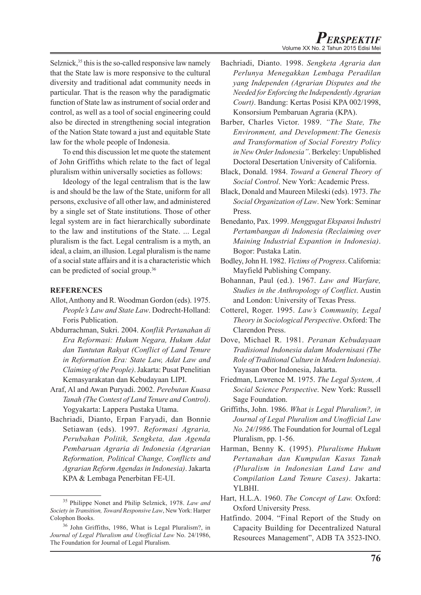Selznick,<sup>35</sup> this is the so-called responsive law namely that the State law is more responsive to the cultural diversity and traditional adat community needs in particular. That is the reason why the paradigmatic function of State law as instrument of social order and control, as well as a tool of social engineering could also be directed in strengthening social integration of the Nation State toward a just and equitable State law for the whole people of Indonesia.

To end this discussion let me quote the statement of John Griffiths which relate to the fact of legal pluralism within universally societies as follows:

Ideology of the legal centralism that is the law is and should be the law of the State, uniform for all persons, exclusive of all other law, and administered by a single set of State institutions. Those of other legal system are in fact hierarchically subordinate to the law and institutions of the State. ... Legal pluralism is the fact. Legal centralism is a myth, an ideal, a claim, an illusion. Legal pluralism is the name of a social state affairs and it is a characteristic which can be predicted of social group.36

## **REFERENCES**

- Allot, Anthony and R. Woodman Gordon (eds). 1975. *People's Law and State Law*. Dodrecht-Holland: Foris Publication.
- Abdurrachman, Sukri. 2004. *Konflik Pertanahan di Era Reformasi: Hukum Negara, Hukum Adat dan Tuntutan Rakyat (Conflict of Land Tenure in Reformation Era: State Law, Adat Law and Claiming of the People)*. Jakarta: Pusat Penelitian Kemasyarakatan dan Kebudayaan LIPI.
- Araf, Al and Awan Puryadi. 2002. *Perebutan Kuasa Tanah (The Contest of Land Tenure and Control)*. Yogyakarta: Lappera Pustaka Utama.
- Bachriadi, Dianto, Erpan Faryadi, dan Bonnie Setiawan (eds). 1997. *Reformasi Agraria, Perubahan Politik, Sengketa, dan Agenda Pembaruan Agraria di Indonesia (Agrarian Reformation, Political Change, Conflicts and Agrarian Reform Agendas in Indonesia)*. Jakarta KPA & Lembaga Penerbitan FE-UI.
- Bachriadi, Dianto. 1998. *Sengketa Agraria dan Perlunya Menegakkan Lembaga Peradilan yang Independen (Agrarian Disputes and the Needed for Enforcing the Independently Agrarian Court)*. Bandung: Kertas Posisi KPA 002/1998, Konsorsium Pembaruan Agraria (KPA).
- Barber, Charles Victor. 1989. *"The State, The Environment, and Development:The Genesis and Transformation of Social Forestry Policy in New Order Indonesia"*. Berkeley: Unpublished Doctoral Desertation University of California.
- Black, Donald. 1984. *Toward a General Theory of Social Control*. New York: Academic Press.
- Black, Donald and Maureen Mileski (eds). 1973. *The Social Organization of Law*. New York: Seminar Press.
- Benedanto, Pax. 1999. *Menggugat Ekspansi Industri Pertambangan di Indonesia (Reclaiming over Maining Industrial Expantion in Indonesia)*. Bogor: Pustaka Latin.
- Bodley, John H. 1982. *Victims of Progress*. California: Mayfield Publishing Company.
- Bohannan, Paul (ed.). 1967. *Law and Warfare, Studies in the Anthropology of Conflict*. Austin and London: University of Texas Press.
- Cotterel, Roger. 1995. *Law's Community, Legal Theory in Sociological Perspective*. Oxford: The Clarendon Press.
- Dove, Michael R. 1981. *Peranan Kebudayaan Tradisional Indonesia dalam Modernisasi (The Role of Traditional Culture in Modern Indonesia)*. Yayasan Obor Indonesia, Jakarta.
- Friedman, Lawrence M. 1975. *The Legal System, A Social Science Perspective*. New York: Russell Sage Foundation.
- Griffiths, John. 1986. *What is Legal Pluralism?, in Journal of Legal Pluralism and Unofficial Law No. 24/1986*. The Foundation for Journal of Legal Pluralism, pp. 1-56.
- Harman, Benny K. (1995). *Pluralisme Hukum Pertanahan dan Kumpulan Kasus Tanah (Pluralism in Indonesian Land Law and Compilation Land Tenure Cases)*. Jakarta: YLBHI.
- Hart, H.L.A. 1960. *The Concept of Law.* Oxford: Oxford University Press.
- Hatfindo. 2004. "Final Report of the Study on Capacity Building for Decentralized Natural Resources Management", ADB TA 3523-INO.

<sup>35</sup> Philippe Nonet and Philip Selznick, 1978. *Law and Society in Transition, Toward Responsive Law*, New York: Harper Colophon Books.

<sup>36</sup> John Griffiths, 1986, What is Legal Pluralism?, in *Journal of Legal Pluralism and Unofficial Law* No. 24/1986, The Foundation for Journal of Legal Pluralism.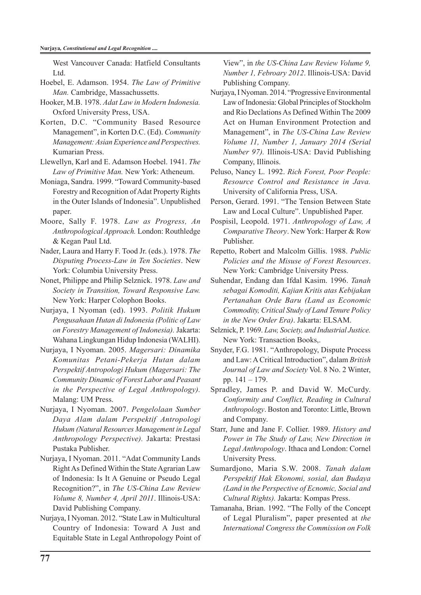West Vancouver Canada: Hatfield Consultants Ltd.

- Hoebel, E. Adamson. 1954. *The Law of Primitive Man.* Cambridge, Massachussetts.
- Hooker, M.B. 1978. *Adat Law in Modern Indonesia.*  Oxford University Press, USA.
- Korten, D.C. "Community Based Resource Management", in Korten D.C. (Ed). *Community Management: Asian Experience and Perspectives.*  Kumarian Press.
- Llewellyn, Karl and E. Adamson Hoebel. 1941. *The Law of Primitive Man.* New York: Atheneum.
- Moniaga, Sandra. 1999. "Toward Community-based Forestry and Recognition of Adat Property Rights in the Outer Islands of Indonesia". Unpublished paper.
- Moore, Sally F. 1978. *Law as Progress, An Anthropological Approach.* London: Routhledge & Kegan Paul Ltd.
- Nader, Laura and Harry F. Tood Jr. (eds.). 1978. *The Disputing Process-Law in Ten Societies*. New York: Columbia University Press.
- Nonet, Philippe and Philip Selznick. 1978. *Law and Society in Transition, Toward Responsive Law.*  New York: Harper Colophon Books.
- Nurjaya, I Nyoman (ed). 1993. *Politik Hukum Pengusahaan Hutan di Indonesia (Politic of Law on Forestry Management of Indonesia).* Jakarta: Wahana Lingkungan Hidup Indonesia (WALHI).
- Nurjaya, I Nyoman. 2005. *Magersari: Dinamika Komunitas Petani-Pekerja Hutan dalam Perspektif Antropologi Hukum (Magersari: The Community Dinamic of Forest Labor and Peasant in the Perspective of Legal Anthropology).*  Malang: UM Press.
- Nurjaya, I Nyoman. 2007. *Pengelolaan Sumber Daya Alam dalam Perspektif Antropologi Hukum (Natural Resources Management in Legal Anthropology Perspective).* Jakarta: Prestasi Pustaka Publisher.
- Nurjaya, I Nyoman. 2011. "Adat Community Lands Right As Defined Within the State Agrarian Law of Indonesia: Is It A Genuine or Pseudo Legal Recognition?", in *The US-China Law Review Volume 8, Number 4, April 2011*. Illinois-USA: David Publishing Company.
- Nurjaya, I Nyoman. 2012. "State Law in Multicultural Country of Indonesia: Toward A Just and Equitable State in Legal Anthropology Point of

View", in *the US-China Law Review Volume 9, Number 1, Febroary 2012*. Illinois-USA: David Publishing Company.

- Nurjaya, I Nyoman. 2014. "Progressive Environmental Law of Indonesia: Global Principles of Stockholm and Rio Declations As Defined Within The 2009 Act on Human Environment Protection and Management", in *The US-China Law Review Volume 11, Number 1, January 2014 (Serial Number 97).* Illinois-USA: David Publishing Company, Illinois.
- Peluso, Nancy L. 1992. *Rich Forest, Poor People: Resource Control and Resistance in Java.* University of California Press, USA.
- Person, Gerard. 1991. "The Tension Between State Law and Local Culture". Unpublished Paper.
- Pospisil, Leopold. 1971. *Anthropology of Law, A Comparative Theory*. New York: Harper & Row Publisher.
- Repetto, Robert and Malcolm Gillis. 1988. *Public Policies and the Misuse of Forest Resources*. New York: Cambridge University Press.
- Suhendar, Endang dan Ifdal Kasim. 1996. *Tanah sebagai Komoditi, Kajian Kritis atas Kebijakan Pertanahan Orde Baru (Land as Economic Commodity, Critical Study of Land Tenure Policy in the New Order Era)*. Jakarta: ELSAM.
- Selznick, P. 1969. *Law, Society, and Industrial Justice.*  New York: Transaction Books,.
- Snyder, F.G. 1981. "Anthropology, Dispute Process and Law: A Critical Introduction", dalam *British Journal of Law and Society* Vol. 8 No. 2 Winter, pp. 141 – 179.
- Spradley, James P. and David W. McCurdy. *Conformity and Conflict, Reading in Cultural Anthropology*. Boston and Toronto: Little, Brown and Company.
- Starr, June and Jane F. Collier. 1989. *History and Power in The Study of Law, New Direction in Legal Anthropology*. Ithaca and London: Cornel University Press.
- Sumardjono, Maria S.W. 2008. *Tanah dalam Perspektif Hak Ekonomi, sosial, dan Budaya (Land in the Perspective of Ecnomic, Social and Cultural Rights).* Jakarta: Kompas Press.
- Tamanaha, Brian. 1992. "The Folly of the Concept of Legal Pluralism", paper presented at *the International Congress the Commission on Folk*